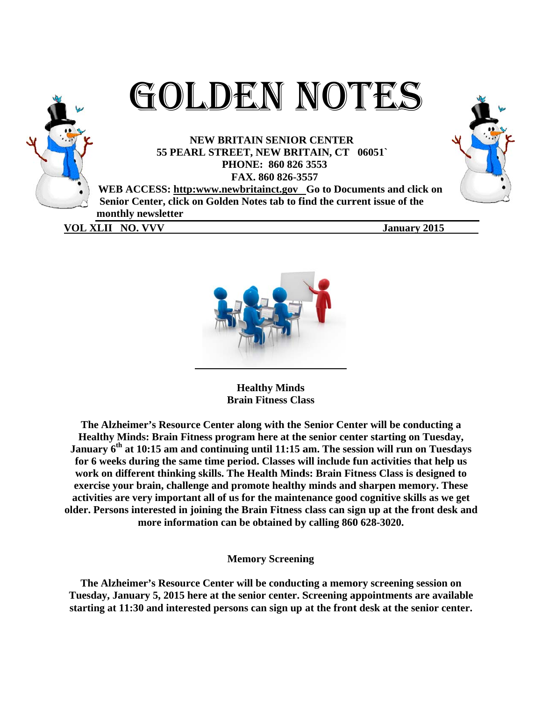

GOLDEN NOTES

**NEW BRITAIN SENIOR CENTER 55 PEARL L STREET, NEW BRIT TAIN, CT 06051` PHONE E: 860 826 3553** 

**FAX X. 860 826-35 557** 

WEB ACCESS: http:www.newbritainct.gov Go to Documents and click on Senior Center, click on Golden Notes tab to find the current issue of the **m monthly new wsletter** 

**VOL XLII NO. VVV** 

**Janu ary 2015** 



**Hea althy Minds Brain Fitness Class** 

**The Alzheimer's Resource Center along with the Senior Center will be conducting a** Healthy Minds: Brain Fitness program here at the senior center starting on Tuesday, **January 6<sup>th</sup> at 10:15 am and continuing until 11:15 am. The session will run on Tuesdays** for 6 weeks during the same time period. Classes will include fun activities that help us work on different thinking skills. The Health Minds: Brain Fitness Class is designed to **exercise your brain, challenge and promote healthy minds and sharpen memory. These** activities are very important all of us for the maintenance good cognitive skills as we get **older. Persons interested in joining the Brain Fitness class can sign up at the front desk and** more information can be obtained by calling 860 628-3020.

**Memory Screening** 

The Alzheimer's Resource Center will be conducting a memory screening session on Tuesday, January 5, 2015 here at the senior center. Screening appointments are available starting at 11:30 and interested persons can sign up at the front desk at the senior center.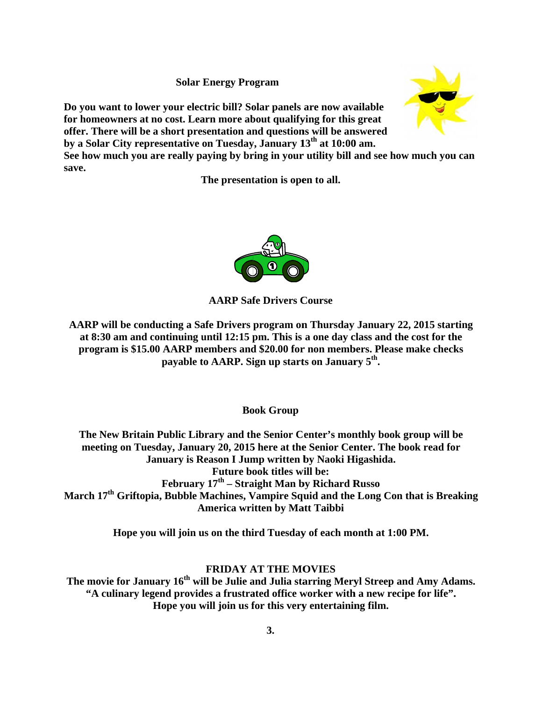**Solar Energy Program** 

Do you want to lower your electric bill? Solar panels are now available for homeowners at no cost. Learn more about qualifying for this great offer. There will be a short presentation and questions will be answered **by a Solar City representative on Tuesday, January 13<sup>th</sup> at 10:00 am.** 



The presentation is open to all.



# **AARP Saf fe Drivers C Course**

**AARP** will be conducting a Safe Drivers program on Thursday January 22, 2015 starting **at 8:3 30 am and c continuing u until 12:15 p pm. This is a one day c class and the e cost for th he program is \$15.00 AARP members and \$20.00 for non members. Please make checks** payable to AARP. Sign up starts on January 5<sup>th</sup>.

**Bo ook Group**

**The New Britain Public Library and the Senior Center's monthly book group will be** meeting on Tuesday, January 20, 2015 here at the Senior Center. The book read for **March 17<sup>th</sup> Griftopia, Bubble Machines, Vampire Squid and the Long Con that is Breaking** January is Reason I Jump written by Naoki Higashida. **February y 17th – Stra aight Man b by Richard R Russo America written by Matt Taibbi** Future book titles will be:

Hope you will join us on the third Tuesday of each month at 1:00 PM.

# **FRIDAY A AT THE MO OVIES**

The movie for January 16<sup>th</sup> will be Julie and Julia starring Meryl Streep and Amy Adams. "A culinary legend provides a frustrated office worker with a new recipe for life". Hope you will join us for this very entertaining film.

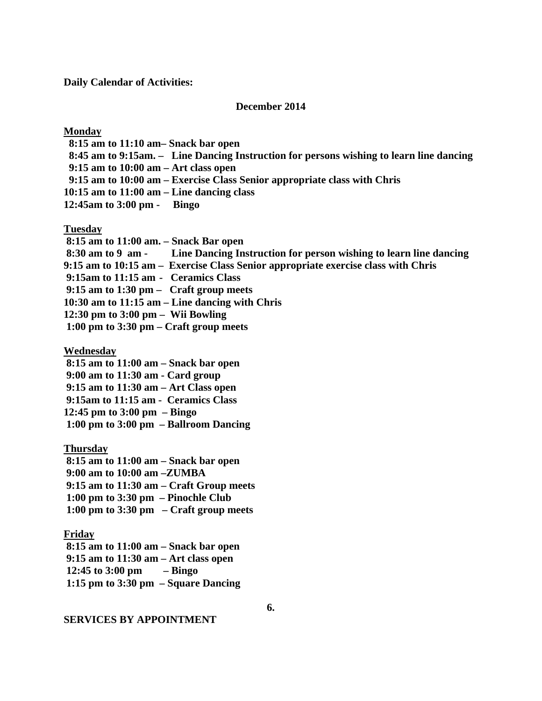**Daily Calendar of Activities:** 

#### **December 2014**

**Monday** 

 **8:15 am to 11:10 am– Snack bar open 8:45 am to 9:15am. – Line Dancing Instruction for persons wishing to learn line dancing 9:15 am to 10:00 am – Art class open 9:15 am to 10:00 am – Exercise Class Senior appropriate class with Chris 10:15 am to 11:00 am – Line dancing class 12:45am to 3:00 pm - Bingo** 

**Tuesday** 

 **8:15 am to 11:00 am. – Snack Bar open 8:30 am to 9 am - Line Dancing Instruction for person wishing to learn line dancing 9:15 am to 10:15 am – Exercise Class Senior appropriate exercise class with Chris 9:15am to 11:15 am - Ceramics Class 9:15 am to 1:30 pm – Craft group meets 10:30 am to 11:15 am – Line dancing with Chris 12:30 pm to 3:00 pm – Wii Bowling 1:00 pm to 3:30 pm – Craft group meets** 

**Wednesday** 

 **8:15 am to 11:00 am – Snack bar open** 

 **9:00 am to 11:30 am - Card group** 

 **9:15 am to 11:30 am – Art Class open** 

 **9:15am to 11:15 am - Ceramics Class** 

**12:45 pm to 3:00 pm – Bingo** 

 **1:00 pm to 3:00 pm – Ballroom Dancing** 

**Thursday** 

 **8:15 am to 11:00 am – Snack bar open 9:00 am to 10:00 am –ZUMBA 9:15 am to 11:30 am – Craft Group meets** 

 **1:00 pm to 3:30 pm – Pinochle Club** 

 **1:00 pm to 3:30 pm – Craft group meets** 

**Friday** 

 **8:15 am to 11:00 am – Snack bar open 9:15 am to 11:30 am – Art class open 12:45 to 3:00 pm – Bingo 1:15 pm to 3:30 pm – Square Dancing** 

**SERVICES BY APPOINTMENT** 

**6.**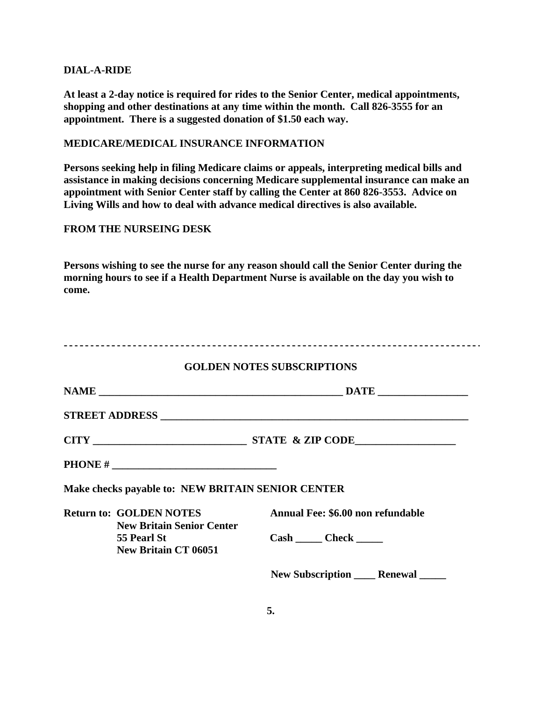#### **DIAL-A-RIDE**

**At least a 2-day notice is required for rides to the Senior Center, medical appointments, shopping and other destinations at any time within the month. Call 826-3555 for an appointment. There is a suggested donation of \$1.50 each way.** 

## **MEDICARE/MEDICAL INSURANCE INFORMATION**

**Persons seeking help in filing Medicare claims or appeals, interpreting medical bills and assistance in making decisions concerning Medicare supplemental insurance can make an appointment with Senior Center staff by calling the Center at 860 826-3553. Advice on Living Wills and how to deal with advance medical directives is also available.** 

## **FROM THE NURSEING DESK**

**Persons wishing to see the nurse for any reason should call the Senior Center during the morning hours to see if a Health Department Nurse is available on the day you wish to come.** 

|  |                                                                                | <b>GOLDEN NOTES SUBSCRIPTIONS</b>      |  |  |  |
|--|--------------------------------------------------------------------------------|----------------------------------------|--|--|--|
|  |                                                                                |                                        |  |  |  |
|  |                                                                                |                                        |  |  |  |
|  |                                                                                |                                        |  |  |  |
|  |                                                                                |                                        |  |  |  |
|  | Make checks payable to: NEW BRITAIN SENIOR CENTER                              |                                        |  |  |  |
|  | <b>Return to: GOLDEN NOTES</b>                                                 | Annual Fee: \$6.00 non refundable      |  |  |  |
|  | <b>New Britain Senior Center</b><br>55 Pearl St<br><b>New Britain CT 06051</b> | Cash Check                             |  |  |  |
|  |                                                                                | New Subscription ______ Renewal ______ |  |  |  |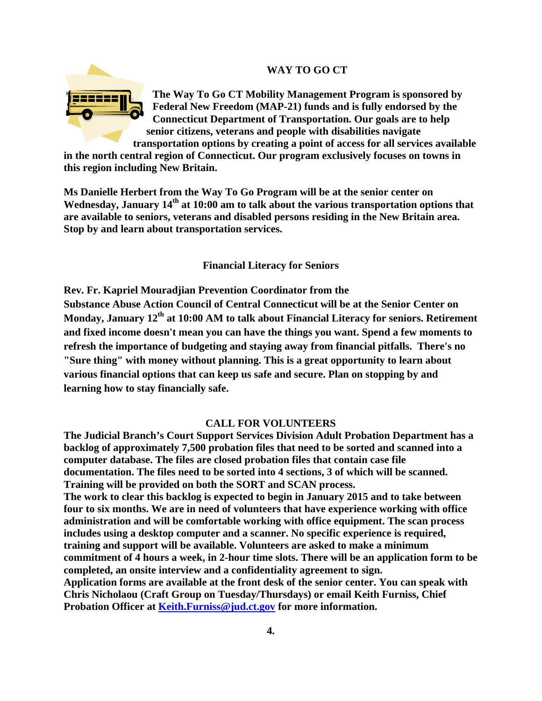## **WAY TO GO CT**



**The Way To Go CT Mobility Management Program is sponsored by Federal New Freedom (MAP-21) funds and is fully endorsed by the Connecticut Department of Transportation. Our goals are to help senior citizens, veterans and people with disabilities navigate transportation options by creating a point of access for all services available** 

**in the north central region of Connecticut. Our program exclusively focuses on towns in this region including New Britain.** 

**Ms Danielle Herbert from the Way To Go Program will be at the senior center on**  Wednesday, January 14<sup>th</sup> at 10:00 am to talk about the various transportation options that **are available to seniors, veterans and disabled persons residing in the New Britain area. Stop by and learn about transportation services.** 

**Financial Literacy for Seniors**

**Rev. Fr. Kapriel Mouradjian Prevention Coordinator from the Substance Abuse Action Council of Central Connecticut will be at the Senior Center on**  Monday, January 12<sup>th</sup> at 10:00 AM to talk about Financial Literacy for seniors. Retirement **and fixed income doesn't mean you can have the things you want. Spend a few moments to refresh the importance of budgeting and staying away from financial pitfalls. There's no "Sure thing" with money without planning. This is a great opportunity to learn about various financial options that can keep us safe and secure. Plan on stopping by and learning how to stay financially safe.** 

#### **CALL FOR VOLUNTEERS**

**The Judicial Branch's Court Support Services Division Adult Probation Department has a backlog of approximately 7,500 probation files that need to be sorted and scanned into a computer database. The files are closed probation files that contain case file documentation. The files need to be sorted into 4 sections, 3 of which will be scanned. Training will be provided on both the SORT and SCAN process. The work to clear this backlog is expected to begin in January 2015 and to take between four to six months. We are in need of volunteers that have experience working with office administration and will be comfortable working with office equipment. The scan process includes using a desktop computer and a scanner. No specific experience is required, training and support will be available. Volunteers are asked to make a minimum commitment of 4 hours a week, in 2-hour time slots. There will be an application form to be completed, an onsite interview and a confidentiality agreement to sign. Application forms are available at the front desk of the senior center. You can speak with Chris Nicholaou (Craft Group on Tuesday/Thursdays) or email Keith Furniss, Chief Probation Officer at Keith.Furniss@jud.ct.gov for more information.**